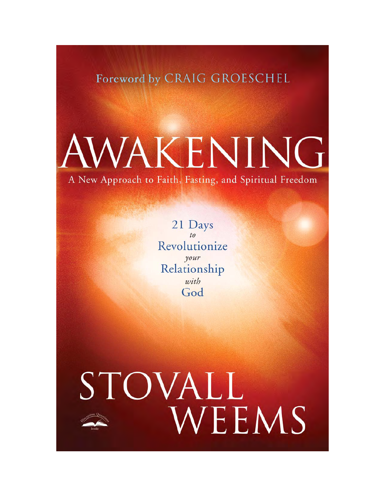## Foreword by CRAIG GROESCHEL

# AWAKENING

A New Approach to Faith, Fasting, and Spiritual Freedom

21 Days Revolutionize your Relationship  $with$ God

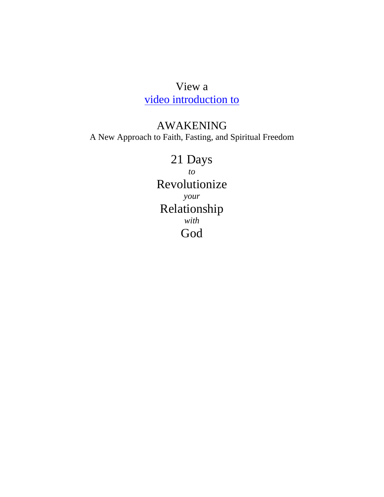### View a [video introduction to](http://awakeningbook.org/)

AWAKENING A New Approach to Faith, Fasting, and Spiritual Freedom

> 21 Days *to*  Revolutionize *your*  Relationship *with*  God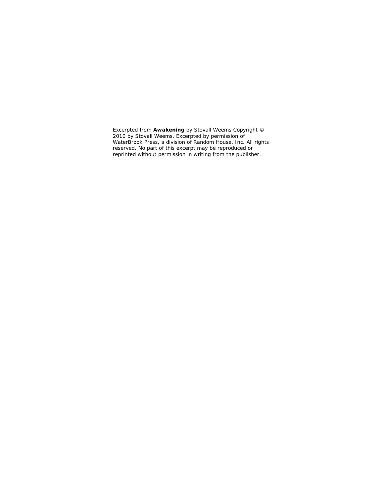Excerpted from **Awakening** by Stovall Weems Copyright © 2010 by Stovall Weems. Excerpted by permission of WaterBrook Press, a division of Random House, Inc. All rights reserved. No part of this excerpt may be reproduced or reprinted without permission in writing from the publisher.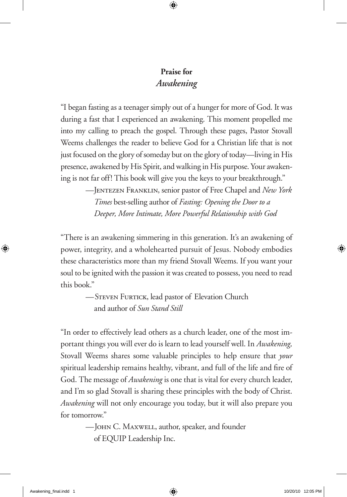#### **Praise for**  *Awakening*

"I began fasting as a teenager simply out of a hunger for more of God. It was during a fast that I experienced an awakening. This moment propelled me into my calling to preach the gospel. Through these pages, Pastor Stovall Weems challenges the reader to believe God for a Christian life that is not just focused on the glory of someday but on the glory of today—living in His presence, awakened by His Spirit, and walking in His purpose. Your awakening is not far off! This book will give you the keys to your breakthrough."

> —Jentezen Franklin, senior pastor of Free Chapel and *New York Times* best-selling author of *Fasting: Opening the Door to a Deeper, More Intimate, More Powerful Relationship with God*

"There is an awakening simmering in this generation. It's an awakening of power, integrity, and a wholehearted pursuit of Jesus. Nobody embodies these characteristics more than my friend Stovall Weems. If you want your soul to be ignited with the passion it was created to possess, you need to read this book."

> —Steven Furtick, lead pastor of Elevation Church and author of *Sun Stand Still*

"In order to effectively lead others as a church leader, one of the most important things you will ever do is learn to lead yourself well. In *Awakening,*  Stovall Weems shares some valuable principles to help ensure that *your* spiritual leadership remains healthy, vibrant, and full of the life and fire of God. The message of *Awakening* is one that is vital for every church leader, and I'm so glad Stovall is sharing these principles with the body of Christ. *Awakening* will not only encourage you today, but it will also prepare you for tomorrow."

> —John C. Maxwell, author, speaker, and founder of EQUIP Leadership Inc.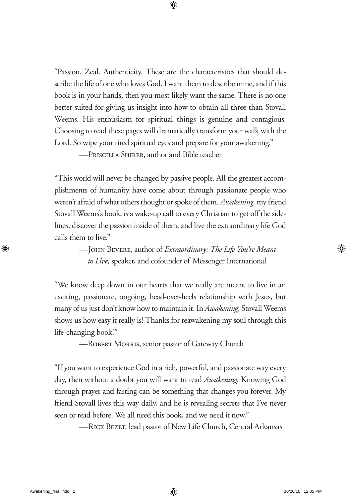"Passion. Zeal. Authenticity. These are the characteristics that should describe the life of one who loves God. I want them to describe mine, and if this book is in your hands, then you most likely want the same. There is no one better suited for giving us insight into how to obtain all three than Stovall Weems. His enthusiasm for spiritual things is genuine and contagious. Choosing to read these pages will dramatically transform your walk with the Lord. So wipe your tired spiritual eyes and prepare for your awakening."

—Priscilla Shirer, author and Bible teacher

"This world will never be changed by passive people. All the greatest accomplishments of humanity have come about through passionate people who weren't afraid of what others thought or spoke of them. *Awakening,* my friend Stovall Weems's book, is a wake-up call to every Christian to get off the sidelines, discover the passion inside of them, and live the extraordinary life God calls them to live."

> —John Bevere, author of *Extraordinary: The Life You're Meant to Live,* speaker, and cofounder of Messenger International

"We know deep down in our hearts that we really are meant to live in an exciting, passionate, ongoing, head-over-heels relationship with Jesus, but many of us just don't know how to maintain it. In *Awakening,* Stovall Weems shows us how easy it really is! Thanks for reawakening my soul through this life-changing book!"

—Robert Morris, senior pastor of Gateway Church

"If you want to experience God in a rich, powerful, and passionate way every day, then without a doubt you will want to read *Awakening.* Knowing God through prayer and fasting can be something that changes you forever. My friend Stovall lives this way daily, and he is revealing secrets that I've never seen or read before. We all need this book, and we need it now."

—Rick Bezet, lead pastor of New Life Church, Central Arkansas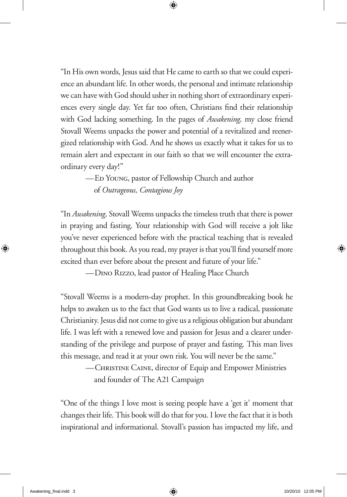"In His own words, Jesus said that He came to earth so that we could experience an abundant life. In other words, the personal and intimate relationship we can have with God should usher in nothing short of extraordinary experiences every single day. Yet far too often, Christians find their relationship with God lacking something. In the pages of *Awakening,* my close friend Stovall Weems unpacks the power and potential of a revitalized and reenergized relationship with God. And he shows us exactly what it takes for us to remain alert and expectant in our faith so that we will encounter the extraordinary every day!"

> —Ed Young, pastor of Fellowship Church and author of *Outrageous, Contagious Joy*

throughout this book. As you read, my prayer is that you'll find yourself more excited than ever before about the present and future of your life." "In *Awakening,* Stovall Weems unpacks the timeless truth that there is power in praying and fasting. Your relationship with God will receive a jolt like you've never experienced before with the practical teaching that is revealed

—Dino Rizzo, lead pastor of Healing Place Church

"Stovall Weems is a modern-day prophet. In this groundbreaking book he helps to awaken us to the fact that God wants us to live a radical, passionate Christianity. Jesus did not come to give us a religious obligation but abundant life. I was left with a renewed love and passion for Jesus and a clearer understanding of the privilege and purpose of prayer and fasting. This man lives this message, and read it at your own risk. You will never be the same."

> —Christine Caine, director of Equip and Empower Ministries and founder of The A21 Campaign

"One of the things I love most is seeing people have a 'get it' moment that changes their life. This book will do that for you. I love the fact that it is both inspirational and informational. Stovall's passion has impacted my life, and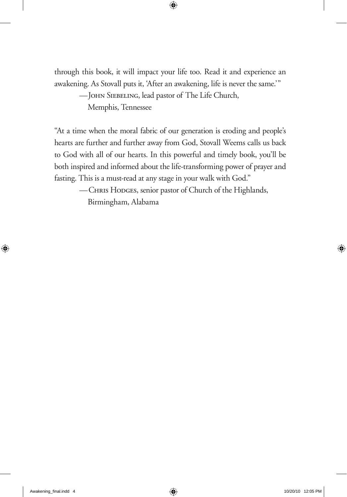through this book, it will impact your life too. Read it and experience an awakening. As Stovall puts it, 'After an awakening, life is never the same.'"

> —John Siebeling, lead pastor of The Life Church, Memphis, Tennessee

"At a time when the moral fabric of our generation is eroding and people's hearts are further and further away from God, Stovall Weems calls us back to God with all of our hearts. In this powerful and timely book, you'll be both inspired and informed about the life-transforming power of prayer and fasting. This is a must-read at any stage in your walk with God."

> —CHRIS HODGES, senior pastor of Church of the Highlands, Birmingham, Alabama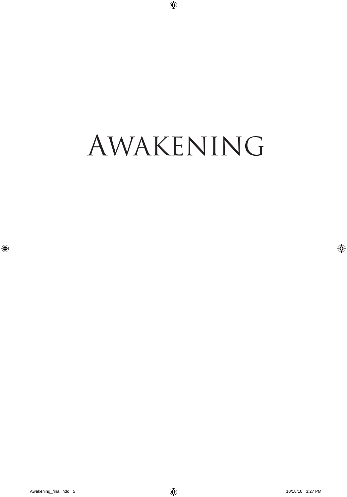# Awakening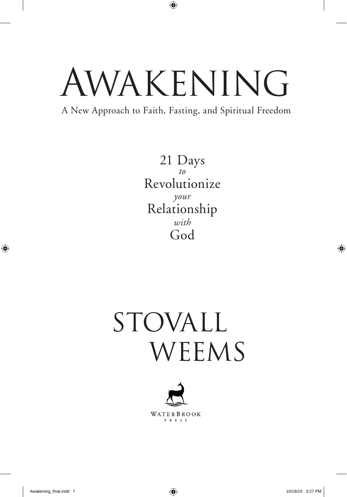# Awakening

A New Approach to Faith, Fasting, and Spiritual Freedom

21 Days *to* Revolutionize *your* Relationship *with* God

# Stovall **WEEMS**

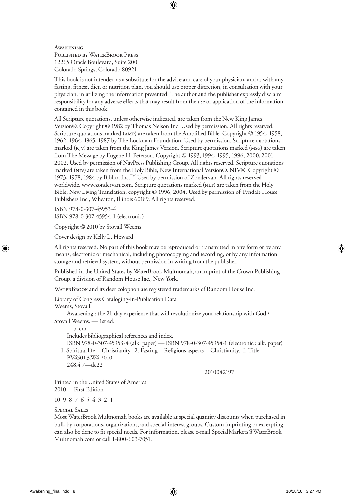**AWAKENING** Published by WaterBrook Press 12265 Oracle Boulevard, Suite 200 Colorado Springs, Colorado 80921

This book is not intended as a substitute for the advice and care of your physician, and as with any fasting, fitness, diet, or nutrition plan, you should use proper discretion, in consultation with your physician, in utilizing the information presented. The author and the publisher expressly disclaim responsibility for any adverse effects that may result from the use or application of the information contained in this book.

All Scripture quotations, unless otherwise indicated, are taken from the New King James Version®. Copyright © 1982 by Thomas Nelson Inc. Used by permission. All rights reserved. Scripture quotations marked (amp) are taken from the Amplified Bible. Copyright © 1954, 1958, 1962, 1964, 1965, 1987 by The Lockman Foundation. Used by permission. Scripture quotations marked (kjv) are taken from the King James Version. Scripture quotations marked (msg) are taken from The Message by Eugene H. Peterson. Copyright © 1993, 1994, 1995, 1996, 2000, 2001, 2002. Used by permission of NavPress Publishing Group. All rights reserved. Scripture quotations marked (niv) are taken from the Holy Bible, New International Version®. NIV®. Copyright © 1973, 1978, 1984 by Biblica Inc.<sup>™</sup> Used by permission of Zondervan. All rights reserved worldwide. www.zondervan.com. Scripture quotations marked (NLT) are taken from the Holy Bible, New Living Translation, copyright © 1996, 2004. Used by permission of Tyndale House Publishers Inc., Wheaton, Illinois 60189. All rights reserved.

ISBN 978-0-307-45953-4 ISBN 978-0-307-45954-1 (electronic)

Copyright © 2010 by Stovall Weems

Cover design by Kelly L. Howard

All rights reserved. No part of this book may be reproduced or transmitted in any form or by any means, electronic or mechanical, including photocopying and recording, or by any information storage and retrieval system, without permission in writing from the publisher.

Published in the United States by WaterBrook Multnomah, an imprint of the Crown Publishing Group, a division of Random House Inc., New York.

WaterBrook and its deer colophon are registered trademarks of Random House Inc.

Library of Congress Cataloging-in-Publication Data

Weems, Stovall.

Awakening : the 21-day experience that will revolutionize your relationship with God / Stovall Weems. — 1st ed.

p. cm.

Includes bibliographical references and index.

ISBN 978-0-307-45953-4 (alk. paper) — ISBN 978-0-307-45954-1 (electronic : alk. paper) 1. Spiritual life—Christianity. 2. Fasting—Religious aspects—Christianity. I. Title. BV4501.3.W4 2010 248.4'7—dc22

2010042197

Printed in the United States of America 2010 —First Edition

10 9 8 7 6 5 4 3 2 1

Special Sales

Most WaterBrook Multnomah books are available at special quantity discounts when purchased in bulk by corporations, organizations, and special-interest groups. Custom imprinting or excerpting can also be done to fit special needs. For information, please e-mail SpecialMarkets@WaterBrook Multnomah.com or call 1-800-603-7051.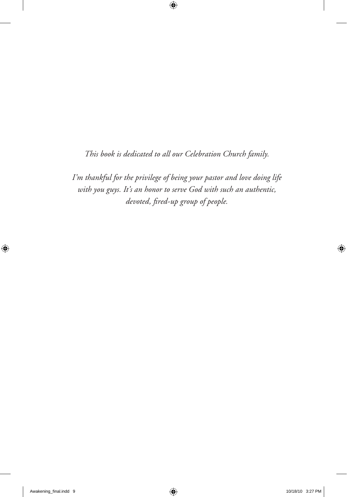*This book is dedicated to all our Celebration Church family.*

*I'm thankful for the privilege of being your pastor and love doing life with you guys. It's an honor to serve God with such an authentic, devoted, fired-up group of people.*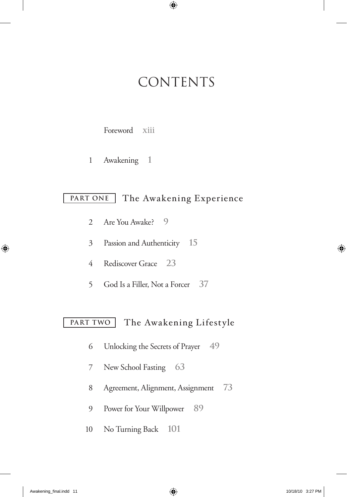## **CONTENTS**

Foreword xiii

Awakening **1**

#### **PART ONE** The Awakening Experience

- Are You Awake? **9**
- Passion and Authenticity **15**
- Rediscover Grace **23**
- God Is a Filler, Not a Forcer **37**

#### **PART TWO** The Awakening Lifestyle

- Unlocking the Secrets of Prayer **49**
- New School Fasting **63**
- Agreement, Alignment, Assignment **73**
- Power for Your Willpower **89**
- No Turning Back **101**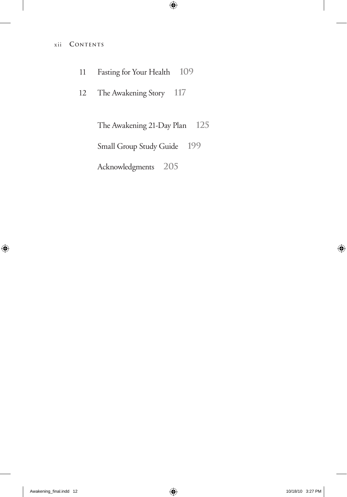#### xii **Contents**

- 11 Fasting for Your Health **109**
- 12 The Awakening Story **117**

The Awakening 21-Day Plan **125** Small Group Study Guide **199** Acknowledgments **205**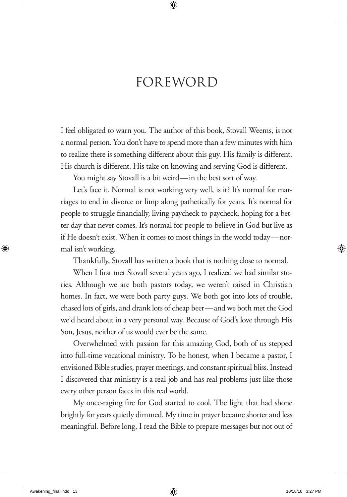### **FOREWORD**

I feel obligated to warn you. The author of this book, Stovall Weems, is not a normal person. You don't have to spend more than a few minutes with him to realize there is something different about this guy. His family is different. His church is different. His take on knowing and serving God is different.

You might say Stovall is a bit weird—in the best sort of way.

Let's face it. Normal is not working very well, is it? It's normal for marriages to end in divorce or limp along pathetically for years. It's normal for people to struggle financially, living paycheck to paycheck, hoping for a better day that never comes. It's normal for people to believe in God but live as if He doesn't exist. When it comes to most things in the world today—normal isn't working.

Thankfully, Stovall has written a book that is nothing close to normal.

When I first met Stovall several years ago, I realized we had similar stories. Although we are both pastors today, we weren't raised in Christian homes. In fact, we were both party guys. We both got into lots of trouble, chased lots of girls, and drank lots of cheap beer—and we both met the God we'd heard about in a very personal way. Because of God's love through His Son, Jesus, neither of us would ever be the same.

Overwhelmed with passion for this amazing God, both of us stepped into full-time vocational ministry. To be honest, when I became a pastor, I envisioned Bible studies, prayer meetings, and constant spiritual bliss. Instead I discovered that ministry is a real job and has real problems just like those every other person faces in this real world.

My once-raging fire for God started to cool. The light that had shone brightly for years quietly dimmed. My time in prayer became shorter and less meaningful. Before long, I read the Bible to prepare messages but not out of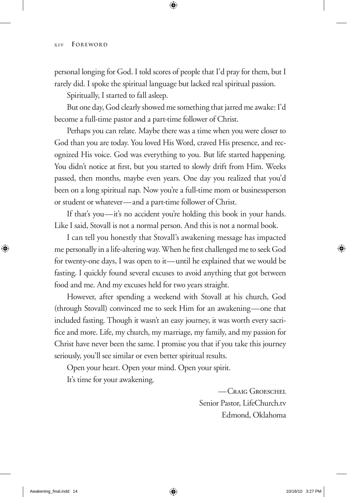personal longing for God. I told scores of people that I'd pray for them, but I rarely did. I spoke the spiritual language but lacked real spiritual passion.

Spiritually, I started to fall asleep.

But one day, God clearly showed me something that jarred me awake: I'd become a full-time pastor and a part-time follower of Christ.

Perhaps you can relate. Maybe there was a time when you were closer to God than you are today. You loved His Word, craved His presence, and recognized His voice. God was everything to you. But life started happening. You didn't notice at first, but you started to slowly drift from Him. Weeks passed, then months, maybe even years. One day you realized that you'd been on a long spiritual nap. Now you're a full-time mom or businessperson or student or whatever—and a part-time follower of Christ.

If that's you—it's no accident you're holding this book in your hands. Like I said, Stovall is not a normal person. And this is not a normal book.

I can tell you honestly that Stovall's awakening message has impacted me personally in a life-altering way. When he first challenged me to seek God for twenty-one days, I was open to it—until he explained that we would be fasting. I quickly found several excuses to avoid anything that got between food and me. And my excuses held for two years straight.

However, after spending a weekend with Stovall at his church, God (through Stovall) convinced me to seek Him for an awakening—one that included fasting. Though it wasn't an easy journey, it was worth every sacrifice and more. Life, my church, my marriage, my family, and my passion for Christ have never been the same. I promise you that if you take this journey seriously, you'll see similar or even better spiritual results.

Open your heart. Open your mind. Open your spirit.

It's time for your awakening.

—Craig Groeschel Senior Pastor, LifeChurch.tv Edmond, Oklahoma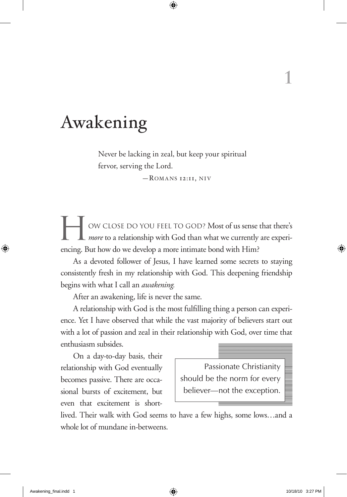# Awakening

Never be lacking in zeal, but keep your spiritual fervor, serving the Lord.

 $-ROMANS$  12:11, NIV

W CLOSE DO YOU FEEL TO GOD? Most of us sense that there's *more* to a relationship with God than what we currently are experiencing. But how do we develop a more intimate bond with Him?

As a devoted follower of Jesus, I have learned some secrets to staying consistently fresh in my relationship with God. This deepening friendship begins with what I call an *awakening.*

After an awakening, life is never the same.

A relationship with God is the most fulfilling thing a person can experience. Yet I have observed that while the vast majority of believers start out with a lot of passion and zeal in their relationship with God, over time that enthusiasm subsides.

On a day-to-day basis, their relationship with God eventually becomes passive. There are occasional bursts of excitement, but even that excitement is short-

Passionate Christianity should be the norm for every believer—not the exception.

**1**

lived. Their walk with God seems to have a few highs, some lows…and a whole lot of mundane in-betweens.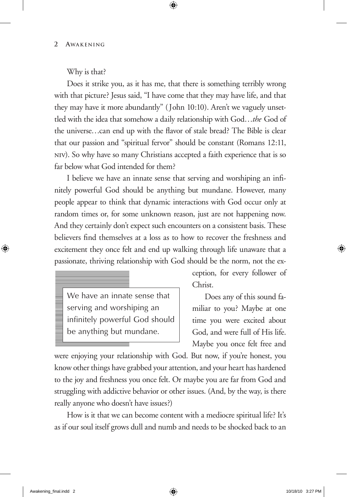Why is that?

Does it strike you, as it has me, that there is something terribly wrong with that picture? Jesus said, "I have come that they may have life, and that they may have it more abundantly" ( John 10:10). Aren't we vaguely unsettled with the idea that somehow a daily relationship with God…*the* God of the universe…can end up with the flavor of stale bread? The Bible is clear that our passion and "spiritual fervor" should be constant (Romans 12:11, niv). So why have so many Christians accepted a faith experience that is so far below what God intended for them?

I believe we have an innate sense that serving and worshiping an infinitely powerful God should be anything but mundane. However, many people appear to think that dynamic interactions with God occur only at random times or, for some unknown reason, just are not happening now. And they certainly don't expect such encounters on a consistent basis. These believers find themselves at a loss as to how to recover the freshness and excitement they once felt and end up walking through life unaware that a passionate, thriving relationship with God should be the norm, not the ex-

We have an innate sense that serving and worshiping an infinitely powerful God should be anything but mundane.

ception, for every follower of Christ.

Does any of this sound familiar to you? Maybe at one time you were excited about God, and were full of His life. Maybe you once felt free and

were enjoying your relationship with God. But now, if you're honest, you know other things have grabbed your attention, and your heart has hardened to the joy and freshness you once felt. Or maybe you are far from God and struggling with addictive behavior or other issues. (And, by the way, is there really anyone who doesn't have issues?)

How is it that we can become content with a mediocre spiritual life? It's as if our soul itself grows dull and numb and needs to be shocked back to an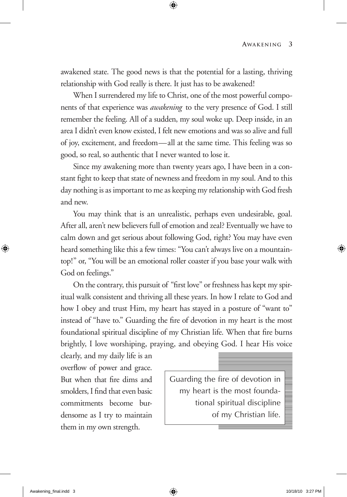awakened state. The good news is that the potential for a lasting, thriving relationship with God really is there. It just has to be awakened!

When I surrendered my life to Christ, one of the most powerful components of that experience was *awakening* to the very presence of God. I still remember the feeling. All of a sudden, my soul woke up. Deep inside, in an area I didn't even know existed, I felt new emotions and was so alive and full of joy, excitement, and freedom—all at the same time. This feeling was so good, so real, so authentic that I never wanted to lose it.

Since my awakening more than twenty years ago, I have been in a constant fight to keep that state of newness and freedom in my soul. And to this day nothing is as important to me as keeping my relationship with God fresh and new.

You may think that is an unrealistic, perhaps even undesirable, goal. After all, aren't new believers full of emotion and zeal? Eventually we have to calm down and get serious about following God, right? You may have even heard something like this a few times: "You can't always live on a mountaintop!" or, "You will be an emotional roller coaster if you base your walk with God on feelings."

On the contrary, this pursuit of "first love" or freshness has kept my spiritual walk consistent and thriving all these years. In how I relate to God and how I obey and trust Him, my heart has stayed in a posture of "want to" instead of "have to." Guarding the fire of devotion in my heart is the most foundational spiritual discipline of my Christian life. When that fire burns brightly, I love worshiping, praying, and obeying God. I hear His voice

clearly, and my daily life is an overflow of power and grace. But when that fire dims and smolders, I find that even basic commitments become burdensome as I try to maintain them in my own strength.

Guarding the fire of devotion in my heart is the most foundational spiritual discipline of my Christian life.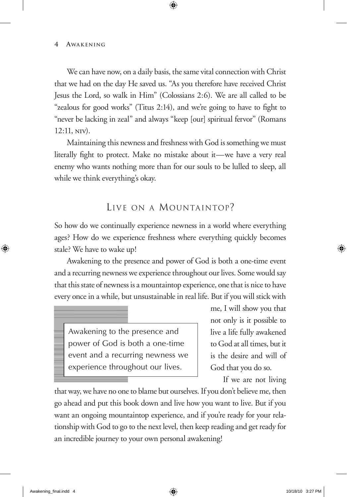We can have now, on a daily basis, the same vital connection with Christ that we had on the day He saved us. "As you therefore have received Christ Jesus the Lord, so walk in Him" (Colossians 2:6). We are all called to be "zealous for good works" (Titus 2:14), and we're going to have to fight to "never be lacking in zeal" and always "keep [our] spiritual fervor" (Romans  $12:11$ , NIV).

Maintaining this newness and freshness with God is something we must literally fight to protect. Make no mistake about it—we have a very real enemy who wants nothing more than for our souls to be lulled to sleep, all while we think everything's okay.

#### Live on a Mountaintop?

So how do we continually experience newness in a world where everything ages? How do we experience freshness where everything quickly becomes stale? We have to wake up!

Awakening to the presence and power of God is both a one-time event and a recurring newness we experience throughout our lives. Some would say that this state of newness is a mountaintop experience, one that is nice to have every once in a while, but unsustainable in real life. But if you will stick with

Awakening to the presence and power of God is both a one-time event and a recurring newness we experience throughout our lives.

me, I will show you that not only is it possible to live a life fully awakened to God at all times, but it is the desire and will of God that you do so.

If we are not living

that way, we have no one to blame but ourselves. If you don't believe me, then go ahead and put this book down and live how you want to live. But if you want an ongoing mountaintop experience, and if you're ready for your relationship with God to go to the next level, then keep reading and get ready for an incredible journey to your own personal awakening!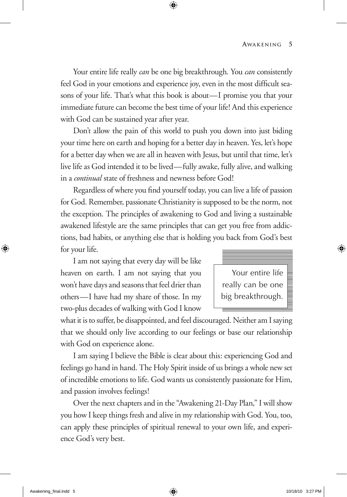Your entire life really *can* be one big breakthrough. You *can* consistently feel God in your emotions and experience joy, even in the most difficult seasons of your life. That's what this book is about—I promise you that your immediate future can become the best time of your life! And this experience with God can be sustained year after year.

Don't allow the pain of this world to push you down into just biding your time here on earth and hoping for a better day in heaven. Yes, let's hope for a better day when we are all in heaven with Jesus, but until that time, let's live life as God intended it to be lived—fully awake, fully alive, and walking in a *continual* state of freshness and newness before God!

Regardless of where you find yourself today, you can live a life of passion for God. Remember, passionate Christianity is supposed to be the norm, not the exception. The principles of awakening to God and living a sustainable awakened lifestyle are the same principles that can get you free from addictions, bad habits, or anything else that is holding you back from God's best for your life.

I am not saying that every day will be like heaven on earth. I am not saying that you won't have days and seasons that feel drier than others—I have had my share of those. In my two-plus decades of walking with God I know



what it is to suffer, be disappointed, and feel discouraged. Neither am I saying that we should only live according to our feelings or base our relationship with God on experience alone.

I am saying I believe the Bible is clear about this: experiencing God and feelings go hand in hand. The Holy Spirit inside of us brings a whole new set of incredible emotions to life. God wants us consistently passionate for Him, and passion involves feelings!

Over the next chapters and in the "Awakening 21-Day Plan," I will show you how I keep things fresh and alive in my relationship with God. You, too, can apply these principles of spiritual renewal to your own life, and experience God's very best.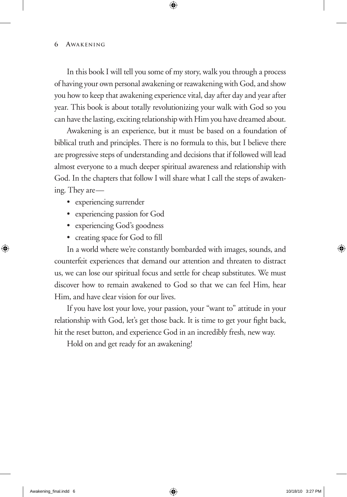In this book I will tell you some of my story, walk you through a process of having your own personal awakening or reawakening with God, and show you how to keep that awakening experience vital, day after day and year after year. This book is about totally revolutionizing your walk with God so you can have the lasting, exciting relationship with Him you have dreamed about.

Awakening is an experience, but it must be based on a foundation of biblical truth and principles. There is no formula to this, but I believe there are progressive steps of understanding and decisions that if followed will lead almost everyone to a much deeper spiritual awareness and relationship with God. In the chapters that follow I will share what I call the steps of awakening. They are—

- experiencing surrender
- experiencing passion for God
- experiencing God's goodness
- creating space for God to fill

In a world where we're constantly bombarded with images, sounds, and counterfeit experiences that demand our attention and threaten to distract us, we can lose our spiritual focus and settle for cheap substitutes. We must discover how to remain awakened to God so that we can feel Him, hear Him, and have clear vision for our lives.

If you have lost your love, your passion, your "want to" attitude in your relationship with God, let's get those back. It is time to get your fight back, hit the reset button, and experience God in an incredibly fresh, new way.

Hold on and get ready for an awakening!